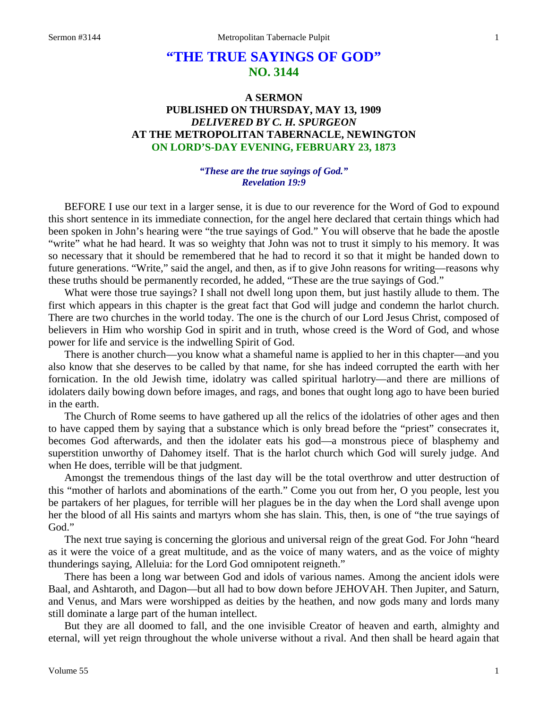# **"THE TRUE SAYINGS OF GOD" NO. 3144**

# **A SERMON PUBLISHED ON THURSDAY, MAY 13, 1909** *DELIVERED BY C. H. SPURGEON* **AT THE METROPOLITAN TABERNACLE, NEWINGTON ON LORD'S-DAY EVENING, FEBRUARY 23, 1873**

#### *"These are the true sayings of God." Revelation 19:9*

BEFORE I use our text in a larger sense, it is due to our reverence for the Word of God to expound this short sentence in its immediate connection, for the angel here declared that certain things which had been spoken in John's hearing were "the true sayings of God." You will observe that he bade the apostle "write" what he had heard. It was so weighty that John was not to trust it simply to his memory. It was so necessary that it should be remembered that he had to record it so that it might be handed down to future generations. "Write," said the angel, and then, as if to give John reasons for writing—reasons why these truths should be permanently recorded, he added, "These are the true sayings of God."

What were those true sayings? I shall not dwell long upon them, but just hastily allude to them. The first which appears in this chapter is the great fact that God will judge and condemn the harlot church. There are two churches in the world today. The one is the church of our Lord Jesus Christ, composed of believers in Him who worship God in spirit and in truth, whose creed is the Word of God, and whose power for life and service is the indwelling Spirit of God.

There is another church—you know what a shameful name is applied to her in this chapter—and you also know that she deserves to be called by that name, for she has indeed corrupted the earth with her fornication. In the old Jewish time, idolatry was called spiritual harlotry—and there are millions of idolaters daily bowing down before images, and rags, and bones that ought long ago to have been buried in the earth.

The Church of Rome seems to have gathered up all the relics of the idolatries of other ages and then to have capped them by saying that a substance which is only bread before the "priest" consecrates it, becomes God afterwards, and then the idolater eats his god—a monstrous piece of blasphemy and superstition unworthy of Dahomey itself. That is the harlot church which God will surely judge. And when He does, terrible will be that judgment.

Amongst the tremendous things of the last day will be the total overthrow and utter destruction of this "mother of harlots and abominations of the earth." Come you out from her, O you people, lest you be partakers of her plagues, for terrible will her plagues be in the day when the Lord shall avenge upon her the blood of all His saints and martyrs whom she has slain. This, then, is one of "the true sayings of God."

The next true saying is concerning the glorious and universal reign of the great God. For John "heard as it were the voice of a great multitude, and as the voice of many waters, and as the voice of mighty thunderings saying, Alleluia: for the Lord God omnipotent reigneth."

There has been a long war between God and idols of various names. Among the ancient idols were Baal, and Ashtaroth, and Dagon—but all had to bow down before JEHOVAH. Then Jupiter, and Saturn, and Venus, and Mars were worshipped as deities by the heathen, and now gods many and lords many still dominate a large part of the human intellect.

But they are all doomed to fall, and the one invisible Creator of heaven and earth, almighty and eternal, will yet reign throughout the whole universe without a rival. And then shall be heard again that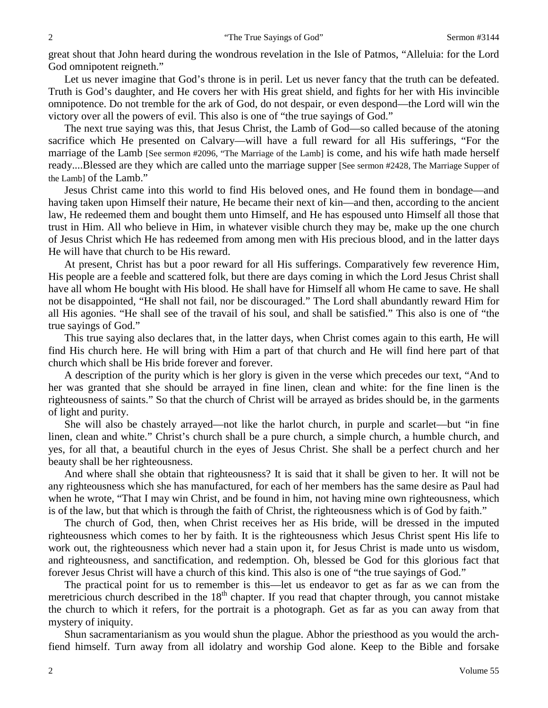great shout that John heard during the wondrous revelation in the Isle of Patmos, "Alleluia: for the Lord God omnipotent reigneth."

Let us never imagine that God's throne is in peril. Let us never fancy that the truth can be defeated. Truth is God's daughter, and He covers her with His great shield, and fights for her with His invincible omnipotence. Do not tremble for the ark of God, do not despair, or even despond—the Lord will win the victory over all the powers of evil. This also is one of "the true sayings of God."

The next true saying was this, that Jesus Christ, the Lamb of God—so called because of the atoning sacrifice which He presented on Calvary—will have a full reward for all His sufferings, "For the marriage of the Lamb [See sermon #2096, "The Marriage of the Lamb] is come, and his wife hath made herself ready....Blessed are they which are called unto the marriage supper [See sermon #2428, The Marriage Supper of the Lamb] of the Lamb."

Jesus Christ came into this world to find His beloved ones, and He found them in bondage—and having taken upon Himself their nature, He became their next of kin—and then, according to the ancient law, He redeemed them and bought them unto Himself, and He has espoused unto Himself all those that trust in Him. All who believe in Him, in whatever visible church they may be, make up the one church of Jesus Christ which He has redeemed from among men with His precious blood, and in the latter days He will have that church to be His reward.

At present, Christ has but a poor reward for all His sufferings. Comparatively few reverence Him, His people are a feeble and scattered folk, but there are days coming in which the Lord Jesus Christ shall have all whom He bought with His blood. He shall have for Himself all whom He came to save. He shall not be disappointed, "He shall not fail, nor be discouraged." The Lord shall abundantly reward Him for all His agonies. "He shall see of the travail of his soul, and shall be satisfied." This also is one of "the true sayings of God."

This true saying also declares that, in the latter days, when Christ comes again to this earth, He will find His church here. He will bring with Him a part of that church and He will find here part of that church which shall be His bride forever and forever.

A description of the purity which is her glory is given in the verse which precedes our text, "And to her was granted that she should be arrayed in fine linen, clean and white: for the fine linen is the righteousness of saints." So that the church of Christ will be arrayed as brides should be, in the garments of light and purity.

She will also be chastely arrayed—not like the harlot church, in purple and scarlet—but "in fine linen, clean and white." Christ's church shall be a pure church, a simple church, a humble church, and yes, for all that, a beautiful church in the eyes of Jesus Christ. She shall be a perfect church and her beauty shall be her righteousness.

And where shall she obtain that righteousness? It is said that it shall be given to her. It will not be any righteousness which she has manufactured, for each of her members has the same desire as Paul had when he wrote, "That I may win Christ, and be found in him, not having mine own righteousness, which is of the law, but that which is through the faith of Christ, the righteousness which is of God by faith."

The church of God, then, when Christ receives her as His bride, will be dressed in the imputed righteousness which comes to her by faith. It is the righteousness which Jesus Christ spent His life to work out, the righteousness which never had a stain upon it, for Jesus Christ is made unto us wisdom, and righteousness, and sanctification, and redemption. Oh, blessed be God for this glorious fact that forever Jesus Christ will have a church of this kind. This also is one of "the true sayings of God."

The practical point for us to remember is this—let us endeavor to get as far as we can from the meretricious church described in the  $18<sup>th</sup>$  chapter. If you read that chapter through, you cannot mistake the church to which it refers, for the portrait is a photograph. Get as far as you can away from that mystery of iniquity.

Shun sacramentarianism as you would shun the plague. Abhor the priesthood as you would the archfiend himself. Turn away from all idolatry and worship God alone. Keep to the Bible and forsake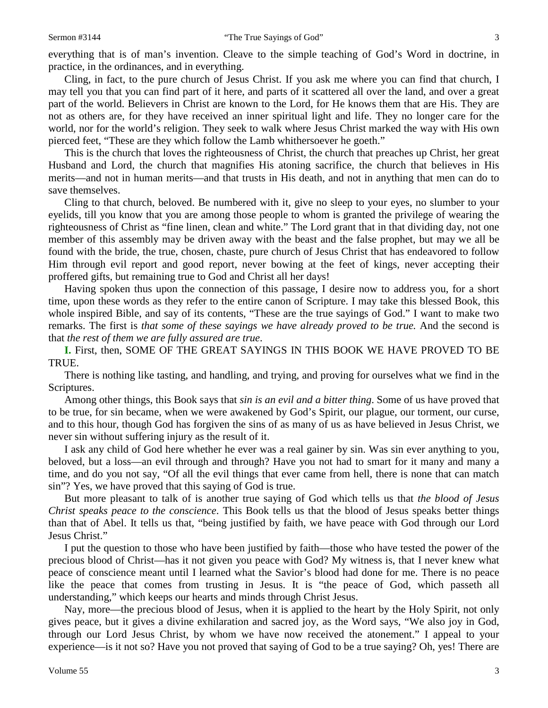Cling, in fact, to the pure church of Jesus Christ. If you ask me where you can find that church, I may tell you that you can find part of it here, and parts of it scattered all over the land, and over a great part of the world. Believers in Christ are known to the Lord, for He knows them that are His. They are not as others are, for they have received an inner spiritual light and life. They no longer care for the world, nor for the world's religion. They seek to walk where Jesus Christ marked the way with His own pierced feet, "These are they which follow the Lamb whithersoever he goeth."

This is the church that loves the righteousness of Christ, the church that preaches up Christ, her great Husband and Lord, the church that magnifies His atoning sacrifice, the church that believes in His merits—and not in human merits—and that trusts in His death, and not in anything that men can do to save themselves.

Cling to that church, beloved. Be numbered with it, give no sleep to your eyes, no slumber to your eyelids, till you know that you are among those people to whom is granted the privilege of wearing the righteousness of Christ as "fine linen, clean and white." The Lord grant that in that dividing day, not one member of this assembly may be driven away with the beast and the false prophet, but may we all be found with the bride, the true, chosen, chaste, pure church of Jesus Christ that has endeavored to follow Him through evil report and good report, never bowing at the feet of kings, never accepting their proffered gifts, but remaining true to God and Christ all her days!

Having spoken thus upon the connection of this passage, I desire now to address you, for a short time, upon these words as they refer to the entire canon of Scripture. I may take this blessed Book, this whole inspired Bible, and say of its contents, "These are the true sayings of God." I want to make two remarks. The first is *that some of these sayings we have already proved to be true.* And the second is that *the rest of them we are fully assured are true*.

**I.** First, then, SOME OF THE GREAT SAYINGS IN THIS BOOK WE HAVE PROVED TO BE TRUE.

There is nothing like tasting, and handling, and trying, and proving for ourselves what we find in the Scriptures.

Among other things, this Book says that *sin is an evil and a bitter thing*. Some of us have proved that to be true, for sin became, when we were awakened by God's Spirit, our plague, our torment, our curse, and to this hour, though God has forgiven the sins of as many of us as have believed in Jesus Christ, we never sin without suffering injury as the result of it.

I ask any child of God here whether he ever was a real gainer by sin. Was sin ever anything to you, beloved, but a loss—an evil through and through? Have you not had to smart for it many and many a time, and do you not say, "Of all the evil things that ever came from hell, there is none that can match sin"? Yes, we have proved that this saying of God is true.

But more pleasant to talk of is another true saying of God which tells us that *the blood of Jesus Christ speaks peace to the conscience*. This Book tells us that the blood of Jesus speaks better things than that of Abel. It tells us that, "being justified by faith, we have peace with God through our Lord Jesus Christ."

I put the question to those who have been justified by faith—those who have tested the power of the precious blood of Christ—has it not given you peace with God? My witness is, that I never knew what peace of conscience meant until I learned what the Savior's blood had done for me. There is no peace like the peace that comes from trusting in Jesus. It is "the peace of God, which passeth all understanding," which keeps our hearts and minds through Christ Jesus.

Nay, more—the precious blood of Jesus, when it is applied to the heart by the Holy Spirit, not only gives peace, but it gives a divine exhilaration and sacred joy, as the Word says, "We also joy in God, through our Lord Jesus Christ, by whom we have now received the atonement." I appeal to your experience—is it not so? Have you not proved that saying of God to be a true saying? Oh, yes! There are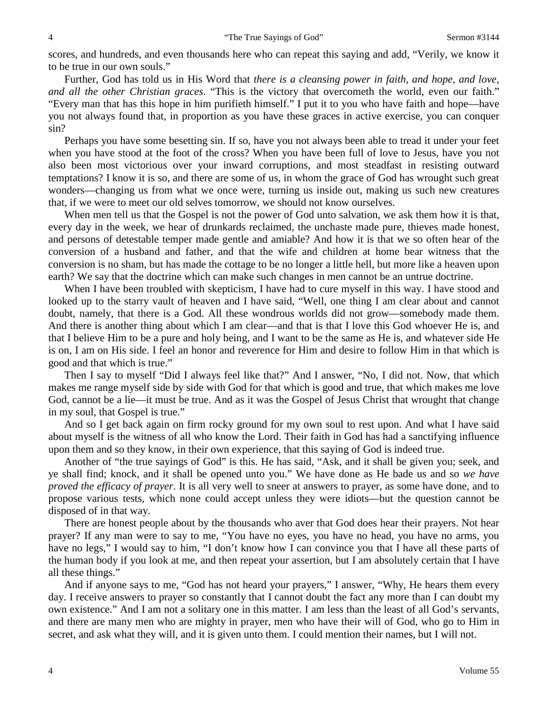scores, and hundreds, and even thousands here who can repeat this saying and add, "Verily, we know it to be true in our own souls."

Further, God has told us in His Word that *there is a cleansing power in faith, and hope, and love, and all the other Christian graces*. "This is the victory that overcometh the world, even our faith." "Every man that has this hope in him purifieth himself." I put it to you who have faith and hope—have you not always found that, in proportion as you have these graces in active exercise, you can conquer sin?

Perhaps you have some besetting sin. If so, have you not always been able to tread it under your feet when you have stood at the foot of the cross? When you have been full of love to Jesus, have you not also been most victorious over your inward corruptions, and most steadfast in resisting outward temptations? I know it is so, and there are some of us, in whom the grace of God has wrought such great wonders—changing us from what we once were, turning us inside out, making us such new creatures that, if we were to meet our old selves tomorrow, we should not know ourselves.

When men tell us that the Gospel is not the power of God unto salvation, we ask them how it is that, every day in the week, we hear of drunkards reclaimed, the unchaste made pure, thieves made honest, and persons of detestable temper made gentle and amiable? And how it is that we so often hear of the conversion of a husband and father, and that the wife and children at home bear witness that the conversion is no sham, but has made the cottage to be no longer a little hell, but more like a heaven upon earth? We say that the doctrine which can make such changes in men cannot be an untrue doctrine.

When I have been troubled with skepticism, I have had to cure myself in this way. I have stood and looked up to the starry vault of heaven and I have said, "Well, one thing I am clear about and cannot doubt, namely, that there is a God. All these wondrous worlds did not grow—somebody made them. And there is another thing about which I am clear—and that is that I love this God whoever He is, and that I believe Him to be a pure and holy being, and I want to be the same as He is, and whatever side He is on, I am on His side. I feel an honor and reverence for Him and desire to follow Him in that which is good and that which is true."

Then I say to myself "Did I always feel like that?" And I answer, "No, I did not. Now, that which makes me range myself side by side with God for that which is good and true, that which makes me love God, cannot be a lie—it must be true. And as it was the Gospel of Jesus Christ that wrought that change in my soul, that Gospel is true."

And so I get back again on firm rocky ground for my own soul to rest upon. And what I have said about myself is the witness of all who know the Lord. Their faith in God has had a sanctifying influence upon them and so they know, in their own experience, that this saying of God is indeed true.

Another of "the true sayings of God" is this. He has said, "Ask, and it shall be given you; seek, and ye shall find; knock, and it shall be opened unto you." We have done as He bade us and so *we have proved the efficacy of prayer*. It is all very well to sneer at answers to prayer, as some have done, and to propose various tests, which none could accept unless they were idiots—but the question cannot be disposed of in that way.

There are honest people about by the thousands who aver that God does hear their prayers. Not hear prayer? If any man were to say to me, "You have no eyes, you have no head, you have no arms, you have no legs," I would say to him, "I don't know how I can convince you that I have all these parts of the human body if you look at me, and then repeat your assertion, but I am absolutely certain that I have all these things."

And if anyone says to me, "God has not heard your prayers," I answer, "Why, He hears them every day. I receive answers to prayer so constantly that I cannot doubt the fact any more than I can doubt my own existence." And I am not a solitary one in this matter. I am less than the least of all God's servants, and there are many men who are mighty in prayer, men who have their will of God, who go to Him in secret, and ask what they will, and it is given unto them. I could mention their names, but I will not.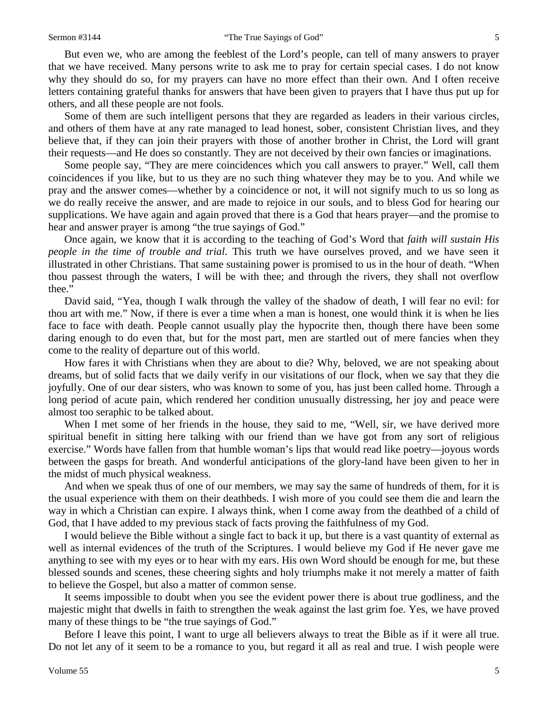But even we, who are among the feeblest of the Lord's people, can tell of many answers to prayer that we have received. Many persons write to ask me to pray for certain special cases. I do not know why they should do so, for my prayers can have no more effect than their own. And I often receive letters containing grateful thanks for answers that have been given to prayers that I have thus put up for others, and all these people are not fools.

Some of them are such intelligent persons that they are regarded as leaders in their various circles, and others of them have at any rate managed to lead honest, sober, consistent Christian lives, and they believe that, if they can join their prayers with those of another brother in Christ, the Lord will grant their requests—and He does so constantly. They are not deceived by their own fancies or imaginations.

Some people say, "They are mere coincidences which you call answers to prayer." Well, call them coincidences if you like, but to us they are no such thing whatever they may be to you. And while we pray and the answer comes—whether by a coincidence or not, it will not signify much to us so long as we do really receive the answer, and are made to rejoice in our souls, and to bless God for hearing our supplications. We have again and again proved that there is a God that hears prayer—and the promise to hear and answer prayer is among "the true sayings of God."

Once again, we know that it is according to the teaching of God's Word that *faith will sustain His people in the time of trouble and trial*. This truth we have ourselves proved, and we have seen it illustrated in other Christians. That same sustaining power is promised to us in the hour of death. "When thou passest through the waters, I will be with thee; and through the rivers, they shall not overflow thee."

David said, "Yea, though I walk through the valley of the shadow of death, I will fear no evil: for thou art with me." Now, if there is ever a time when a man is honest, one would think it is when he lies face to face with death. People cannot usually play the hypocrite then, though there have been some daring enough to do even that, but for the most part, men are startled out of mere fancies when they come to the reality of departure out of this world.

How fares it with Christians when they are about to die? Why, beloved, we are not speaking about dreams, but of solid facts that we daily verify in our visitations of our flock, when we say that they die joyfully. One of our dear sisters, who was known to some of you, has just been called home. Through a long period of acute pain, which rendered her condition unusually distressing, her joy and peace were almost too seraphic to be talked about.

When I met some of her friends in the house, they said to me, "Well, sir, we have derived more spiritual benefit in sitting here talking with our friend than we have got from any sort of religious exercise." Words have fallen from that humble woman's lips that would read like poetry—joyous words between the gasps for breath. And wonderful anticipations of the glory-land have been given to her in the midst of much physical weakness.

And when we speak thus of one of our members, we may say the same of hundreds of them, for it is the usual experience with them on their deathbeds. I wish more of you could see them die and learn the way in which a Christian can expire. I always think, when I come away from the deathbed of a child of God, that I have added to my previous stack of facts proving the faithfulness of my God.

I would believe the Bible without a single fact to back it up, but there is a vast quantity of external as well as internal evidences of the truth of the Scriptures. I would believe my God if He never gave me anything to see with my eyes or to hear with my ears. His own Word should be enough for me, but these blessed sounds and scenes, these cheering sights and holy triumphs make it not merely a matter of faith to believe the Gospel, but also a matter of common sense.

It seems impossible to doubt when you see the evident power there is about true godliness, and the majestic might that dwells in faith to strengthen the weak against the last grim foe. Yes, we have proved many of these things to be "the true sayings of God."

Before I leave this point, I want to urge all believers always to treat the Bible as if it were all true. Do not let any of it seem to be a romance to you, but regard it all as real and true. I wish people were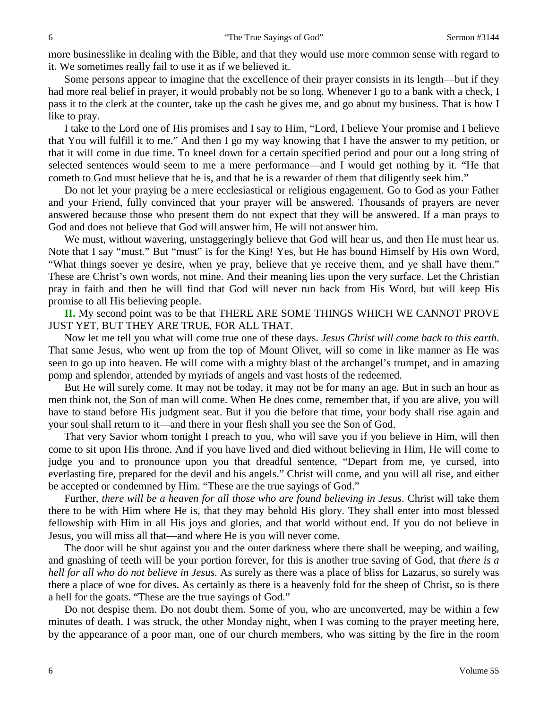more businesslike in dealing with the Bible, and that they would use more common sense with regard to it. We sometimes really fail to use it as if we believed it.

Some persons appear to imagine that the excellence of their prayer consists in its length—but if they had more real belief in prayer, it would probably not be so long. Whenever I go to a bank with a check, I pass it to the clerk at the counter, take up the cash he gives me, and go about my business. That is how I like to pray.

I take to the Lord one of His promises and I say to Him, "Lord, I believe Your promise and I believe that You will fulfill it to me." And then I go my way knowing that I have the answer to my petition, or that it will come in due time. To kneel down for a certain specified period and pour out a long string of selected sentences would seem to me a mere performance—and I would get nothing by it. "He that cometh to God must believe that he is, and that he is a rewarder of them that diligently seek him."

Do not let your praying be a mere ecclesiastical or religious engagement. Go to God as your Father and your Friend, fully convinced that your prayer will be answered. Thousands of prayers are never answered because those who present them do not expect that they will be answered. If a man prays to God and does not believe that God will answer him, He will not answer him.

We must, without wavering, unstaggeringly believe that God will hear us, and then He must hear us. Note that I say "must." But "must" is for the King! Yes, but He has bound Himself by His own Word, "What things soever ye desire, when ye pray, believe that ye receive them, and ye shall have them." These are Christ's own words, not mine. And their meaning lies upon the very surface. Let the Christian pray in faith and then he will find that God will never run back from His Word, but will keep His promise to all His believing people.

**II.** My second point was to be that THERE ARE SOME THINGS WHICH WE CANNOT PROVE JUST YET, BUT THEY ARE TRUE, FOR ALL THAT.

Now let me tell you what will come true one of these days. *Jesus Christ will come back to this earth*. That same Jesus, who went up from the top of Mount Olivet, will so come in like manner as He was seen to go up into heaven. He will come with a mighty blast of the archangel's trumpet, and in amazing pomp and splendor, attended by myriads of angels and vast hosts of the redeemed.

But He will surely come. It may not be today, it may not be for many an age. But in such an hour as men think not, the Son of man will come. When He does come, remember that, if you are alive, you will have to stand before His judgment seat. But if you die before that time, your body shall rise again and your soul shall return to it—and there in your flesh shall you see the Son of God.

That very Savior whom tonight I preach to you, who will save you if you believe in Him, will then come to sit upon His throne. And if you have lived and died without believing in Him, He will come to judge you and to pronounce upon you that dreadful sentence, "Depart from me, ye cursed, into everlasting fire, prepared for the devil and his angels." Christ will come, and you will all rise, and either be accepted or condemned by Him. "These are the true sayings of God."

Further, *there will be a heaven for all those who are found believing in Jesus*. Christ will take them there to be with Him where He is, that they may behold His glory. They shall enter into most blessed fellowship with Him in all His joys and glories, and that world without end. If you do not believe in Jesus, you will miss all that—and where He is you will never come.

The door will be shut against you and the outer darkness where there shall be weeping, and wailing, and gnashing of teeth will be your portion forever, for this is another true saving of God, that *there is a hell for all who do not believe in Jesus.* As surely as there was a place of bliss for Lazarus, so surely was there a place of woe for dives. As certainly as there is a heavenly fold for the sheep of Christ, so is there a hell for the goats. "These are the true sayings of God."

Do not despise them. Do not doubt them. Some of you, who are unconverted, may be within a few minutes of death. I was struck, the other Monday night, when I was coming to the prayer meeting here, by the appearance of a poor man, one of our church members, who was sitting by the fire in the room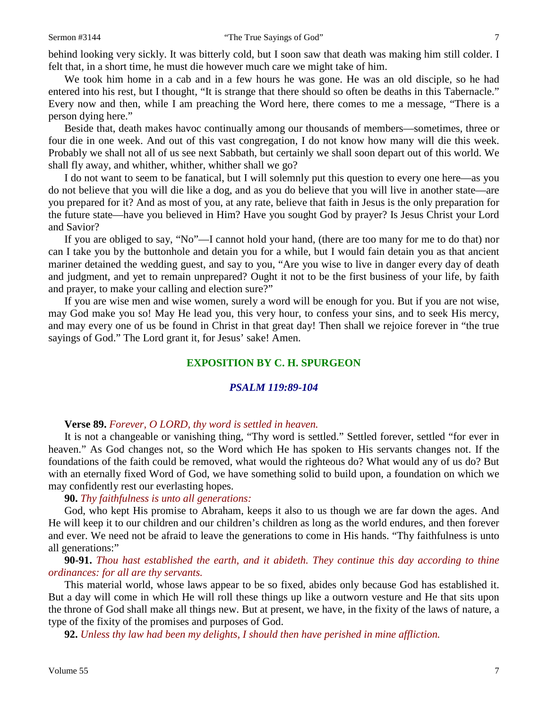behind looking very sickly. It was bitterly cold, but I soon saw that death was making him still colder. I felt that, in a short time, he must die however much care we might take of him.

We took him home in a cab and in a few hours he was gone. He was an old disciple, so he had entered into his rest, but I thought, "It is strange that there should so often be deaths in this Tabernacle." Every now and then, while I am preaching the Word here, there comes to me a message, "There is a person dying here."

Beside that, death makes havoc continually among our thousands of members—sometimes, three or four die in one week. And out of this vast congregation, I do not know how many will die this week. Probably we shall not all of us see next Sabbath, but certainly we shall soon depart out of this world. We shall fly away, and whither, whither, whither shall we go?

I do not want to seem to be fanatical, but I will solemnly put this question to every one here—as you do not believe that you will die like a dog, and as you do believe that you will live in another state—are you prepared for it? And as most of you, at any rate, believe that faith in Jesus is the only preparation for the future state—have you believed in Him? Have you sought God by prayer? Is Jesus Christ your Lord and Savior?

If you are obliged to say, "No"—I cannot hold your hand, (there are too many for me to do that) nor can I take you by the buttonhole and detain you for a while, but I would fain detain you as that ancient mariner detained the wedding guest, and say to you, "Are you wise to live in danger every day of death and judgment, and yet to remain unprepared? Ought it not to be the first business of your life, by faith and prayer, to make your calling and election sure?"

If you are wise men and wise women, surely a word will be enough for you. But if you are not wise, may God make you so! May He lead you, this very hour, to confess your sins, and to seek His mercy, and may every one of us be found in Christ in that great day! Then shall we rejoice forever in "the true sayings of God." The Lord grant it, for Jesus' sake! Amen.

#### **EXPOSITION BY C. H. SPURGEON**

#### *PSALM 119:89-104*

#### **Verse 89.** *Forever, O LORD, thy word is settled in heaven.*

It is not a changeable or vanishing thing, "Thy word is settled." Settled forever, settled "for ever in heaven." As God changes not, so the Word which He has spoken to His servants changes not. If the foundations of the faith could be removed, what would the righteous do? What would any of us do? But with an eternally fixed Word of God, we have something solid to build upon, a foundation on which we may confidently rest our everlasting hopes.

#### **90.** *Thy faithfulness is unto all generations:*

God, who kept His promise to Abraham, keeps it also to us though we are far down the ages. And He will keep it to our children and our children's children as long as the world endures, and then forever and ever. We need not be afraid to leave the generations to come in His hands. "Thy faithfulness is unto all generations:"

### **90-91.** *Thou hast established the earth, and it abideth. They continue this day according to thine ordinances: for all are thy servants.*

This material world, whose laws appear to be so fixed, abides only because God has established it. But a day will come in which He will roll these things up like a outworn vesture and He that sits upon the throne of God shall make all things new. But at present, we have, in the fixity of the laws of nature, a type of the fixity of the promises and purposes of God.

**92.** *Unless thy law had been my delights, I should then have perished in mine affliction.*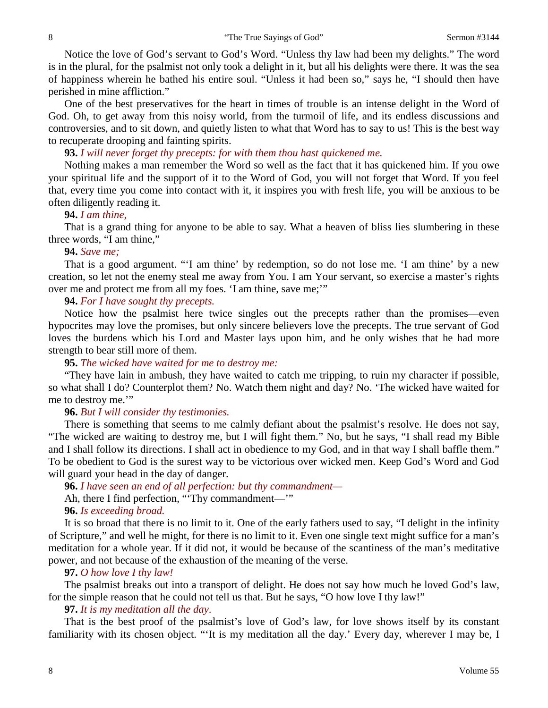Notice the love of God's servant to God's Word. "Unless thy law had been my delights." The word is in the plural, for the psalmist not only took a delight in it, but all his delights were there. It was the sea of happiness wherein he bathed his entire soul. "Unless it had been so," says he, "I should then have perished in mine affliction."

One of the best preservatives for the heart in times of trouble is an intense delight in the Word of God. Oh, to get away from this noisy world, from the turmoil of life, and its endless discussions and controversies, and to sit down, and quietly listen to what that Word has to say to us! This is the best way to recuperate drooping and fainting spirits.

## **93.** *I will never forget thy precepts: for with them thou hast quickened me.*

Nothing makes a man remember the Word so well as the fact that it has quickened him. If you owe your spiritual life and the support of it to the Word of God, you will not forget that Word. If you feel that, every time you come into contact with it, it inspires you with fresh life, you will be anxious to be often diligently reading it.

#### **94.** *I am thine,*

That is a grand thing for anyone to be able to say. What a heaven of bliss lies slumbering in these three words, "I am thine,"

#### **94.** *Save me;*

That is a good argument. "'I am thine' by redemption, so do not lose me. 'I am thine' by a new creation, so let not the enemy steal me away from You. I am Your servant, so exercise a master's rights over me and protect me from all my foes. 'I am thine, save me;'"

### **94.** *For I have sought thy precepts.*

Notice how the psalmist here twice singles out the precepts rather than the promises—even hypocrites may love the promises, but only sincere believers love the precepts. The true servant of God loves the burdens which his Lord and Master lays upon him, and he only wishes that he had more strength to bear still more of them.

#### **95.** *The wicked have waited for me to destroy me:*

"They have lain in ambush, they have waited to catch me tripping, to ruin my character if possible, so what shall I do? Counterplot them? No. Watch them night and day? No. 'The wicked have waited for me to destroy me.'"

### **96.** *But I will consider thy testimonies.*

There is something that seems to me calmly defiant about the psalmist's resolve. He does not say, "The wicked are waiting to destroy me, but I will fight them." No, but he says, "I shall read my Bible and I shall follow its directions. I shall act in obedience to my God, and in that way I shall baffle them." To be obedient to God is the surest way to be victorious over wicked men. Keep God's Word and God will guard your head in the day of danger.

# **96.** *I have seen an end of all perfection: but thy commandment—*

Ah, there I find perfection, "'Thy commandment—'"

#### **96.** *Is exceeding broad.*

It is so broad that there is no limit to it. One of the early fathers used to say, "I delight in the infinity of Scripture," and well he might, for there is no limit to it. Even one single text might suffice for a man's meditation for a whole year. If it did not, it would be because of the scantiness of the man's meditative power, and not because of the exhaustion of the meaning of the verse.

### **97.** *O how love I thy law!*

The psalmist breaks out into a transport of delight. He does not say how much he loved God's law, for the simple reason that he could not tell us that. But he says, "O how love I thy law!"

### **97.** *It is my meditation all the day*.

That is the best proof of the psalmist's love of God's law, for love shows itself by its constant familiarity with its chosen object. "'It is my meditation all the day.' Every day, wherever I may be, I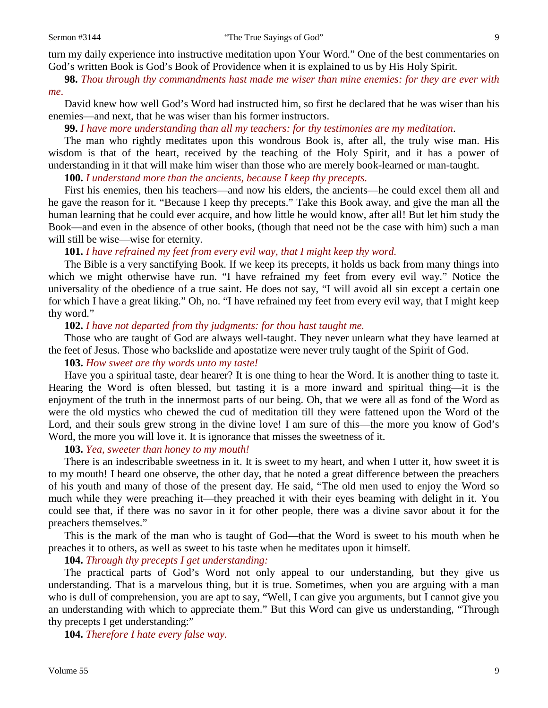turn my daily experience into instructive meditation upon Your Word." One of the best commentaries on God's written Book is God's Book of Providence when it is explained to us by His Holy Spirit.

**98.** *Thou through thy commandments hast made me wiser than mine enemies: for they are ever with me*.

David knew how well God's Word had instructed him, so first he declared that he was wiser than his enemies—and next, that he was wiser than his former instructors.

**99.** *I have more understanding than all my teachers: for thy testimonies are my meditation*.

The man who rightly meditates upon this wondrous Book is, after all, the truly wise man. His wisdom is that of the heart, received by the teaching of the Holy Spirit, and it has a power of understanding in it that will make him wiser than those who are merely book-learned or man-taught.

**100.** *I understand more than the ancients, because I keep thy precepts.* 

First his enemies, then his teachers—and now his elders, the ancients—he could excel them all and he gave the reason for it. "Because I keep thy precepts." Take this Book away, and give the man all the human learning that he could ever acquire, and how little he would know, after all! But let him study the Book—and even in the absence of other books, (though that need not be the case with him) such a man will still be wise—wise for eternity.

**101.** *I have refrained my feet from every evil way, that I might keep thy word.* 

The Bible is a very sanctifying Book. If we keep its precepts, it holds us back from many things into which we might otherwise have run. "I have refrained my feet from every evil way." Notice the universality of the obedience of a true saint. He does not say, "I will avoid all sin except a certain one for which I have a great liking." Oh, no. "I have refrained my feet from every evil way, that I might keep thy word."

**102.** *I have not departed from thy judgments: for thou hast taught me.* 

Those who are taught of God are always well-taught. They never unlearn what they have learned at the feet of Jesus. Those who backslide and apostatize were never truly taught of the Spirit of God.

#### **103.** *How sweet are thy words unto my taste!*

Have you a spiritual taste, dear hearer? It is one thing to hear the Word. It is another thing to taste it. Hearing the Word is often blessed, but tasting it is a more inward and spiritual thing—it is the enjoyment of the truth in the innermost parts of our being. Oh, that we were all as fond of the Word as were the old mystics who chewed the cud of meditation till they were fattened upon the Word of the Lord, and their souls grew strong in the divine love! I am sure of this—the more you know of God's Word, the more you will love it. It is ignorance that misses the sweetness of it.

**103.** *Yea, sweeter than honey to my mouth!*

There is an indescribable sweetness in it. It is sweet to my heart, and when I utter it, how sweet it is to my mouth! I heard one observe, the other day, that he noted a great difference between the preachers of his youth and many of those of the present day. He said, "The old men used to enjoy the Word so much while they were preaching it—they preached it with their eyes beaming with delight in it. You could see that, if there was no savor in it for other people, there was a divine savor about it for the preachers themselves."

This is the mark of the man who is taught of God—that the Word is sweet to his mouth when he preaches it to others, as well as sweet to his taste when he meditates upon it himself.

**104.** *Through thy precepts I get understanding:*

The practical parts of God's Word not only appeal to our understanding, but they give us understanding. That is a marvelous thing, but it is true. Sometimes, when you are arguing with a man who is dull of comprehension, you are apt to say, "Well, I can give you arguments, but I cannot give you an understanding with which to appreciate them." But this Word can give us understanding, "Through thy precepts I get understanding:"

**104.** *Therefore I hate every false way.*